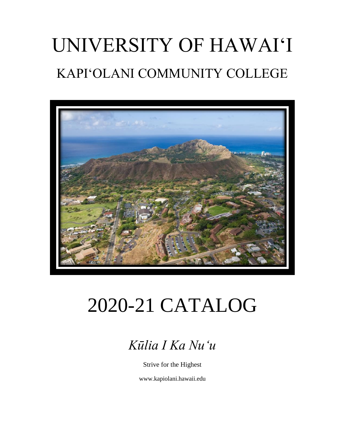# UNIVERSITY OF HAWAI'I KAPI'OLANI COMMUNITY COLLEGE



# 2020-21 CATALOG

*Kūlia I Ka Nu'u*

Strive for the Highest

www.kapiolani.hawaii.edu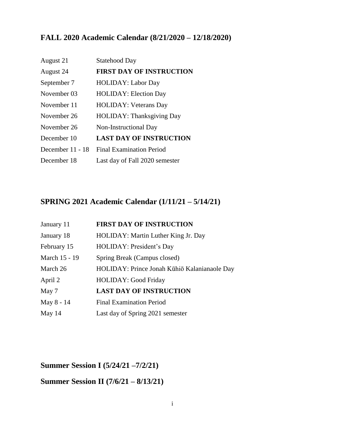## **FALL 2020 Academic Calendar (8/21/2020 – 12/18/2020)**

| August 21        | <b>Statehood Day</b>             |
|------------------|----------------------------------|
| August 24        | <b>FIRST DAY OF INSTRUCTION</b>  |
| September 7      | <b>HOLIDAY: Labor Day</b>        |
| November 03      | <b>HOLIDAY: Election Day</b>     |
| November 11      | <b>HOLIDAY: Veterans Day</b>     |
| November 26      | <b>HOLIDAY: Thanksgiving Day</b> |
| November 26      | Non-Instructional Day            |
| December 10      | <b>LAST DAY OF INSTRUCTION</b>   |
| December 11 - 18 | <b>Final Examination Period</b>  |
| December 18      | Last day of Fall 2020 semester   |

### **SPRING 2021 Academic Calendar (1/11/21 – 5/14/21)**

| January 11    | <b>FIRST DAY OF INSTRUCTION</b>              |
|---------------|----------------------------------------------|
| January 18    | HOLIDAY: Martin Luther King Jr. Day          |
| February 15   | HOLIDAY: President's Day                     |
| March 15 - 19 | Spring Break (Campus closed)                 |
| March 26      | HOLIDAY: Prince Jonah Kūhiō Kalanianaole Day |
| April 2       | <b>HOLIDAY: Good Friday</b>                  |
| May 7         | <b>LAST DAY OF INSTRUCTION</b>               |
| May 8 - 14    | <b>Final Examination Period</b>              |
| May $14$      | Last day of Spring 2021 semester             |

**Summer Session I (5/24/21 –7/2/21)**

# **Summer Session II (7/6/21 – 8/13/21)**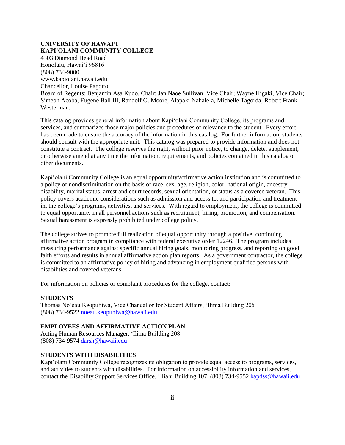#### **UNIVERSITY OF HAWAI'I KAPI'OLANI COMMUNITY COLLEGE**

4303 Diamond Head Road Honolulu, Hawai'i 96816 (808) 734-9000 www.kapiolani.hawaii.edu Chancellor, Louise Pagotto Board of Regents: Benjamin Asa Kudo, Chair; Jan Naoe Sullivan, Vice Chair; Wayne Higaki, Vice Chair; Simeon Acoba, Eugene Ball III, Randolf G. Moore, Alapaki Nahale-a, Michelle Tagorda, Robert Frank Westerman.

This catalog provides general information about Kapi'olani Community College, its programs and services, and summarizes those major policies and procedures of relevance to the student. Every effort has been made to ensure the accuracy of the information in this catalog. For further information, students should consult with the appropriate unit. This catalog was prepared to provide information and does not constitute a contract. The college reserves the right, without prior notice, to change, delete, supplement, or otherwise amend at any time the information, requirements, and policies contained in this catalog or other documents.

Kapi'olani Community College is an equal opportunity/affirmative action institution and is committed to a policy of nondiscrimination on the basis of race, sex, age, religion, color, national origin, ancestry, disability, marital status, arrest and court records, sexual orientation, or status as a covered veteran. This policy covers academic considerations such as admission and access to, and participation and treatment in, the college's programs, activities, and services. With regard to employment, the college is committed to equal opportunity in all personnel actions such as recruitment, hiring, promotion, and compensation. Sexual harassment is expressly prohibited under college policy.

The college strives to promote full realization of equal opportunity through a positive, continuing affirmative action program in compliance with federal executive order 12246. The program includes measuring performance against specific annual hiring goals, monitoring progress, and reporting on good faith efforts and results in annual affirmative action plan reports. As a government contractor, the college is committed to an affirmative policy of hiring and advancing in employment qualified persons with disabilities and covered veterans.

For information on policies or complaint procedures for the college, contact:

#### **STUDENTS**

Thomas No'eau Keopuhiwa, Vice Chancellor for Student Affairs, 'Ilima Building 205 (808) 734-9522 [noeau.keopuhiwa@hawaii.edu](mailto:noeau.keopuhiwa@hawaii.edu)

#### **EMPLOYEES AND AFFIRMATIVE ACTION PLAN**

Acting Human Resources Manager, 'Ilima Building 208 (808) 734-9574 [darsh@hawaii.edu](mailto:darsh@hawaii.edu)

#### **STUDENTS WITH DISABILITIES**

Kapi'olani Community College recognizes its obligation to provide equal access to programs, services, and activities to students with disabilities. For information on accessibility information and services, contact the Disability Support Services Office, 'Iliahi Building 107, (808) 734-9552 [kapdss@hawaii.edu](mailto:kapdss@hawaii.edu)